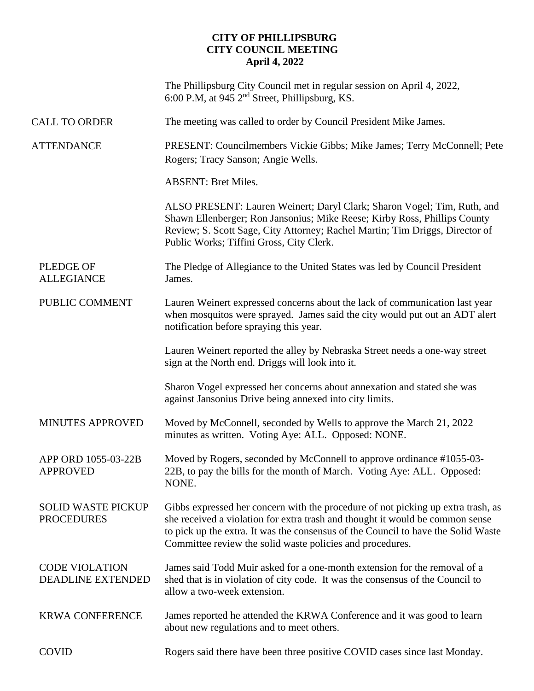## **CITY OF PHILLIPSBURG CITY COUNCIL MEETING April 4, 2022**

|                                                | The Phillipsburg City Council met in regular session on April 4, 2022,<br>6:00 P.M, at 945 $2nd$ Street, Phillipsburg, KS.                                                                                                                                                                                          |
|------------------------------------------------|---------------------------------------------------------------------------------------------------------------------------------------------------------------------------------------------------------------------------------------------------------------------------------------------------------------------|
| <b>CALL TO ORDER</b>                           | The meeting was called to order by Council President Mike James.                                                                                                                                                                                                                                                    |
| <b>ATTENDANCE</b>                              | PRESENT: Councilmembers Vickie Gibbs; Mike James; Terry McConnell; Pete<br>Rogers; Tracy Sanson; Angie Wells.                                                                                                                                                                                                       |
|                                                | <b>ABSENT: Bret Miles.</b>                                                                                                                                                                                                                                                                                          |
|                                                | ALSO PRESENT: Lauren Weinert; Daryl Clark; Sharon Vogel; Tim, Ruth, and<br>Shawn Ellenberger; Ron Jansonius; Mike Reese; Kirby Ross, Phillips County<br>Review; S. Scott Sage, City Attorney; Rachel Martin; Tim Driggs, Director of<br>Public Works; Tiffini Gross, City Clerk.                                    |
| <b>PLEDGE OF</b><br><b>ALLEGIANCE</b>          | The Pledge of Allegiance to the United States was led by Council President<br>James.                                                                                                                                                                                                                                |
| PUBLIC COMMENT                                 | Lauren Weinert expressed concerns about the lack of communication last year<br>when mosquitos were sprayed. James said the city would put out an ADT alert<br>notification before spraying this year.                                                                                                               |
|                                                | Lauren Weinert reported the alley by Nebraska Street needs a one-way street<br>sign at the North end. Driggs will look into it.                                                                                                                                                                                     |
|                                                | Sharon Vogel expressed her concerns about annexation and stated she was<br>against Jansonius Drive being annexed into city limits.                                                                                                                                                                                  |
| <b>MINUTES APPROVED</b>                        | Moved by McConnell, seconded by Wells to approve the March 21, 2022<br>minutes as written. Voting Aye: ALL. Opposed: NONE.                                                                                                                                                                                          |
| APP ORD 1055-03-22B<br><b>APPROVED</b>         | Moved by Rogers, seconded by McConnell to approve ordinance #1055-03-<br>22B, to pay the bills for the month of March. Voting Aye: ALL. Opposed:<br>NONE.                                                                                                                                                           |
| <b>SOLID WASTE PICKUP</b><br><b>PROCEDURES</b> | Gibbs expressed her concern with the procedure of not picking up extra trash, as<br>she received a violation for extra trash and thought it would be common sense<br>to pick up the extra. It was the consensus of the Council to have the Solid Waste<br>Committee review the solid waste policies and procedures. |
| <b>CODE VIOLATION</b><br>DEADLINE EXTENDED     | James said Todd Muir asked for a one-month extension for the removal of a<br>shed that is in violation of city code. It was the consensus of the Council to<br>allow a two-week extension.                                                                                                                          |
| <b>KRWA CONFERENCE</b>                         | James reported he attended the KRWA Conference and it was good to learn<br>about new regulations and to meet others.                                                                                                                                                                                                |
| <b>COVID</b>                                   | Rogers said there have been three positive COVID cases since last Monday.                                                                                                                                                                                                                                           |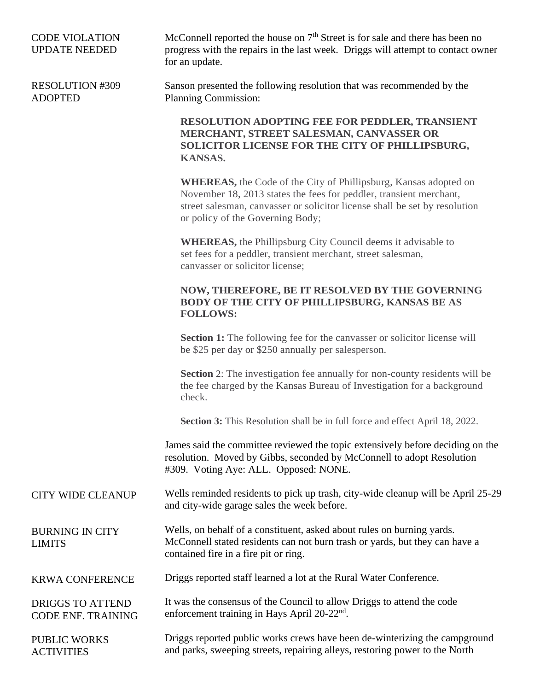## CODE VIOLATION UPDATE NEEDED

McConnell reported the house on  $7<sup>th</sup>$  Street is for sale and there has been no progress with the repairs in the last week. Driggs will attempt to contact owner for an update.

RESOLUTION #309 ADOPTED

Sanson presented the following resolution that was recommended by the Planning Commission:

**RESOLUTION ADOPTING FEE FOR PEDDLER, TRANSIENT MERCHANT, STREET SALESMAN, CANVASSER OR SOLICITOR LICENSE FOR THE CITY OF PHILLIPSBURG, KANSAS.**

**WHEREAS,** the Code of the City of Phillipsburg, Kansas adopted on November 18, 2013 states the fees for peddler, transient merchant, street salesman, canvasser or solicitor license shall be set by resolution or policy of the Governing Body;

**WHEREAS,** the Phillipsburg City Council deems it advisable to set fees for a peddler, transient merchant, street salesman, canvasser or solicitor license;

## **NOW, THEREFORE, BE IT RESOLVED BY THE GOVERNING BODY OF THE CITY OF PHILLIPSBURG, KANSAS BE AS FOLLOWS:**

**Section 1:** The following fee for the canvasser or solicitor license will be \$25 per day or \$250 annually per salesperson.

**Section** 2: The investigation fee annually for non-county residents will be the fee charged by the Kansas Bureau of Investigation for a background check.

**Section 3:** This Resolution shall be in full force and effect April 18, 2022.

James said the committee reviewed the topic extensively before deciding on the resolution. Moved by Gibbs, seconded by McConnell to adopt Resolution #309. Voting Aye: ALL. Opposed: NONE.

## CITY WIDE CLEANUP Wells reminded residents to pick up trash, city-wide cleanup will be April 25-29 and city-wide garage sales the week before.

BURNING IN CITY LIMITS

Wells, on behalf of a constituent, asked about rules on burning yards. McConnell stated residents can not burn trash or yards, but they can have a contained fire in a fire pit or ring.

KRWA CONFERENCE Driggs reported staff learned a lot at the Rural Water Conference.

DRIGGS TO ATTEND CODE ENF. TRAINING It was the consensus of the Council to allow Driggs to attend the code enforcement training in Hays April 20-22<sup>nd</sup>.

PUBLIC WORKS **ACTIVITIES** Driggs reported public works crews have been de-winterizing the campground and parks, sweeping streets, repairing alleys, restoring power to the North